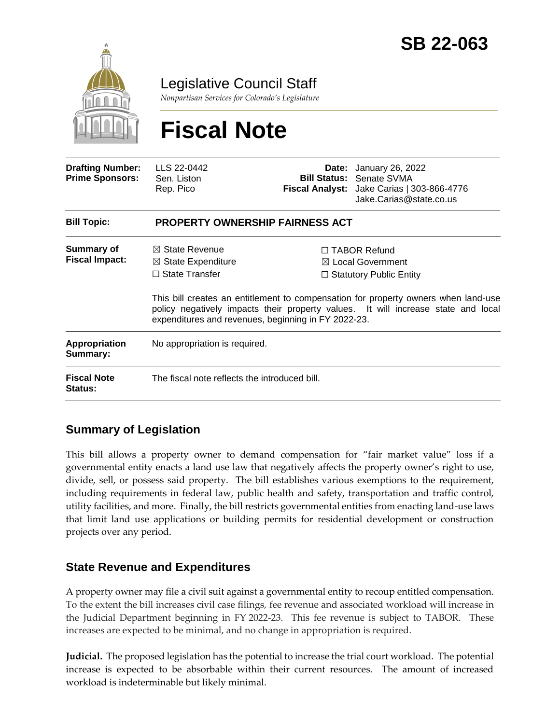

Legislative Council Staff

*Nonpartisan Services for Colorado's Legislature*

# **Fiscal Note**

| <b>Drafting Number:</b><br><b>Prime Sponsors:</b> | LLS 22-0442<br>Sen. Liston<br>Rep. Pico                                                                                                    |  | <b>Date:</b> January 26, 2022<br><b>Bill Status: Senate SVMA</b><br>Fiscal Analyst: Jake Carias   303-866-4776<br>Jake.Carias@state.co.us                                                                                                                        |  |
|---------------------------------------------------|--------------------------------------------------------------------------------------------------------------------------------------------|--|------------------------------------------------------------------------------------------------------------------------------------------------------------------------------------------------------------------------------------------------------------------|--|
| <b>Bill Topic:</b>                                | <b>PROPERTY OWNERSHIP FAIRNESS ACT</b>                                                                                                     |  |                                                                                                                                                                                                                                                                  |  |
| Summary of<br><b>Fiscal Impact:</b>               | $\boxtimes$ State Revenue<br>$\boxtimes$ State Expenditure<br>$\Box$ State Transfer<br>expenditures and revenues, beginning in FY 2022-23. |  | $\Box$ TABOR Refund<br>$\boxtimes$ Local Government<br>$\Box$ Statutory Public Entity<br>This bill creates an entitlement to compensation for property owners when land-use<br>policy negatively impacts their property values. It will increase state and local |  |
| Appropriation<br>Summary:                         | No appropriation is required.                                                                                                              |  |                                                                                                                                                                                                                                                                  |  |
| <b>Fiscal Note</b><br><b>Status:</b>              | The fiscal note reflects the introduced bill.                                                                                              |  |                                                                                                                                                                                                                                                                  |  |

## **Summary of Legislation**

This bill allows a property owner to demand compensation for "fair market value" loss if a governmental entity enacts a land use law that negatively affects the property owner's right to use, divide, sell, or possess said property. The bill establishes various exemptions to the requirement, including requirements in federal law, public health and safety, transportation and traffic control, utility facilities, and more. Finally, the bill restricts governmental entities from enacting land-use laws that limit land use applications or building permits for residential development or construction projects over any period.

### **State Revenue and Expenditures**

A property owner may file a civil suit against a governmental entity to recoup entitled compensation. To the extent the bill increases civil case filings, fee revenue and associated workload will increase in the Judicial Department beginning in FY 2022-23. This fee revenue is subject to TABOR. These increases are expected to be minimal, and no change in appropriation is required.

**Judicial.** The proposed legislation has the potential to increase the trial court workload. The potential increase is expected to be absorbable within their current resources. The amount of increased workload is indeterminable but likely minimal.